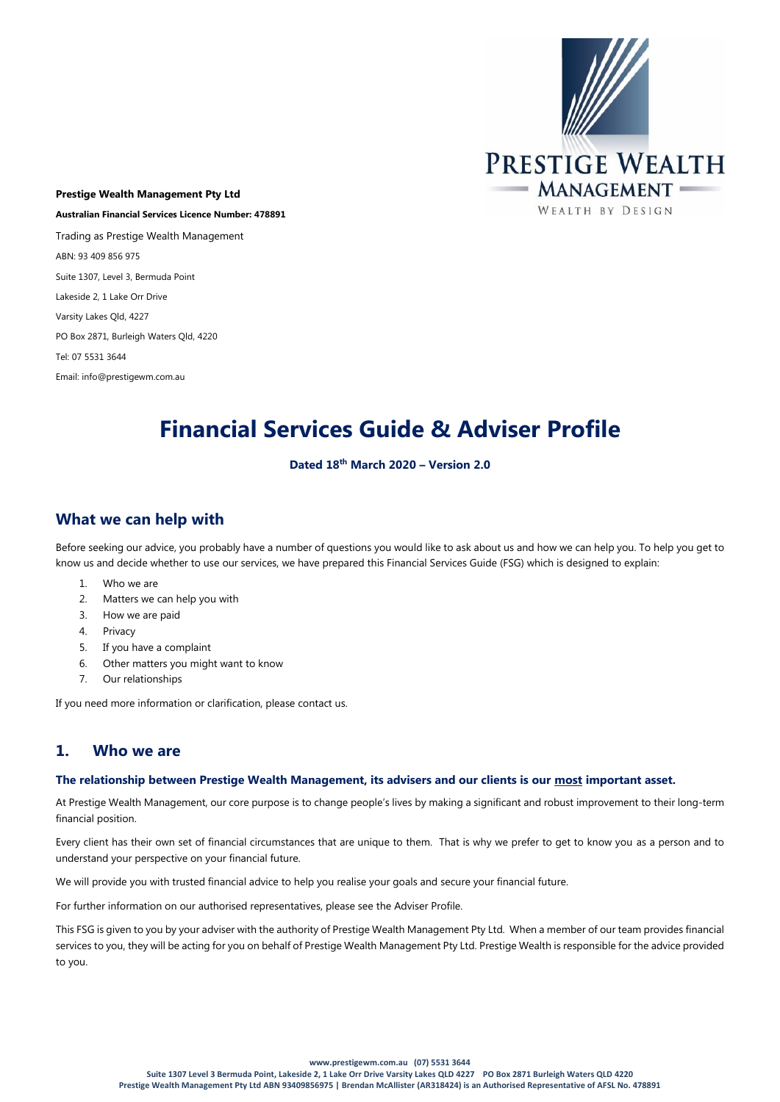

**Prestige Wealth Management Pty Ltd Australian Financial Services Licence Number: 478891** Trading as Prestige Wealth Management ABN: 93 409 856 975 Suite 1307, Level 3, Bermuda Point Lakeside 2, 1 Lake Orr Drive Varsity Lakes Qld, 4227 PO Box 2871, Burleigh Waters Qld, 4220 Tel: 07 5531 3644 Email: info@prestigewm.com.au

# **Financial Services Guide & Adviser Profile**

#### **Dated 18th March 2020 – Version 2.0**

# **What we can help with**

Before seeking our advice, you probably have a number of questions you would like to ask about us and how we can help you. To help you get to know us and decide whether to use our services, we have prepared this Financial Services Guide (FSG) which is designed to explain:

- 1. Who we are
- 2. Matters we can help you with
- 3. How we are paid
- 4. Privacy
- 5. If you have a complaint
- 6. Other matters you might want to know
- 7. Our relationships

If you need more information or clarification, please contact us.

## **1. Who we are**

#### **The relationship between Prestige Wealth Management, its advisers and our clients is our most important asset.**

At Prestige Wealth Management, our core purpose is to change people's lives by making a significant and robust improvement to their long-term financial position.

Every client has their own set of financial circumstances that are unique to them. That is why we prefer to get to know you as a person and to understand your perspective on your financial future.

We will provide you with trusted financial advice to help you realise your goals and secure your financial future.

For further information on our authorised representatives, please see the Adviser Profile.

This FSG is given to you by your adviser with the authority of Prestige Wealth Management Pty Ltd. When a member of our team provides financial services to you, they will be acting for you on behalf of Prestige Wealth Management Pty Ltd. Prestige Wealth is responsible for the advice provided to you.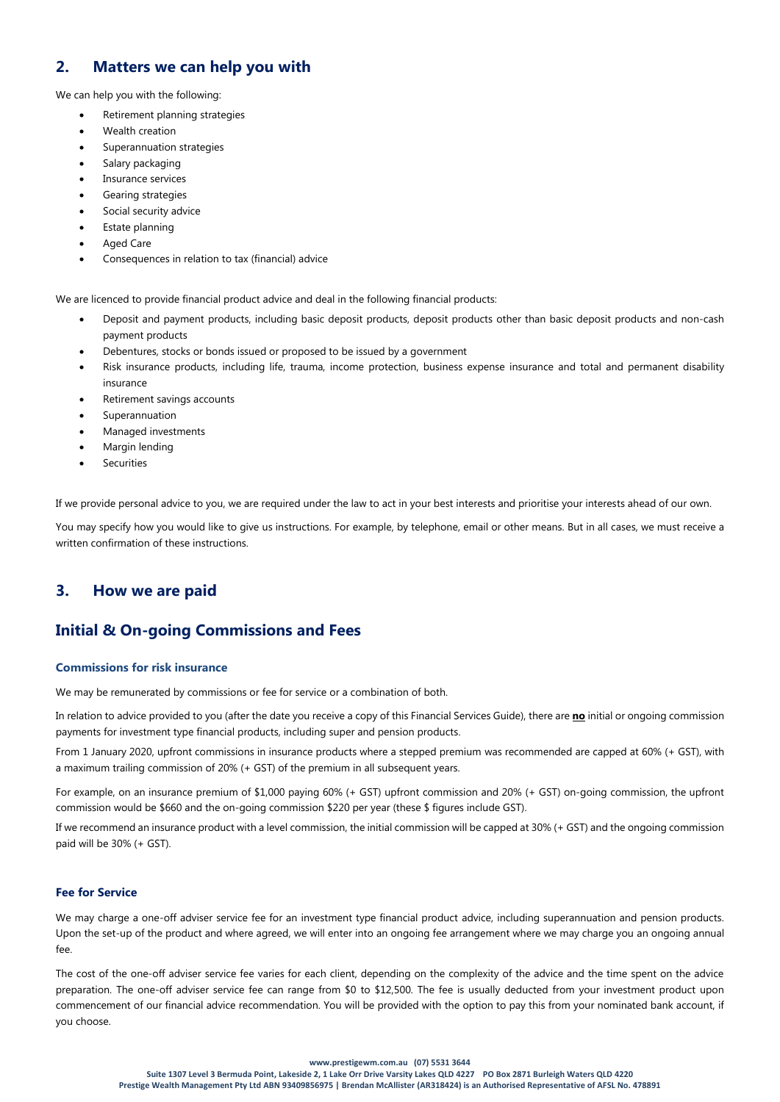# **2. Matters we can help you with**

We can help you with the following:

- Retirement planning strategies
- Wealth creation
- Superannuation strategies
- Salary packaging
- Insurance services
- Gearing strategies
- Social security advice
- Estate planning
- **Aged Care**
- Consequences in relation to tax (financial) advice

We are licenced to provide financial product advice and deal in the following financial products:

- Deposit and payment products, including basic deposit products, deposit products other than basic deposit products and non-cash payment products
- Debentures, stocks or bonds issued or proposed to be issued by a government
- Risk insurance products, including life, trauma, income protection, business expense insurance and total and permanent disability insurance
- Retirement savings accounts
- **Superannuation**
- Managed investments
- Margin lending
- **Securities**

If we provide personal advice to you, we are required under the law to act in your best interests and prioritise your interests ahead of our own.

You may specify how you would like to give us instructions. For example, by telephone, email or other means. But in all cases, we must receive a written confirmation of these instructions.

## **3. How we are paid**

# **Initial & On-going Commissions and Fees**

#### **Commissions for risk insurance**

We may be remunerated by commissions or fee for service or a combination of both.

In relation to advice provided to you (after the date you receive a copy of this Financial Services Guide), there are **no** initial or ongoing commission payments for investment type financial products, including super and pension products.

From 1 January 2020, upfront commissions in insurance products where a stepped premium was recommended are capped at 60% (+ GST), with a maximum trailing commission of 20% (+ GST) of the premium in all subsequent years.

For example, on an insurance premium of \$1,000 paying 60% (+ GST) upfront commission and 20% (+ GST) on-going commission, the upfront commission would be \$660 and the on-going commission \$220 per year (these \$ figures include GST).

If we recommend an insurance product with a level commission, the initial commission will be capped at 30% (+ GST) and the ongoing commission paid will be 30% (+ GST).

#### **Fee for Service**

We may charge a one-off adviser service fee for an investment type financial product advice, including superannuation and pension products. Upon the set-up of the product and where agreed, we will enter into an ongoing fee arrangement where we may charge you an ongoing annual fee.

The cost of the one-off adviser service fee varies for each client, depending on the complexity of the advice and the time spent on the advice preparation. The one-off adviser service fee can range from \$0 to \$12,500. The fee is usually deducted from your investment product upon commencement of our financial advice recommendation. You will be provided with the option to pay this from your nominated bank account, if you choose.

#### **www.prestigewm.com.au (07) 5531 3644**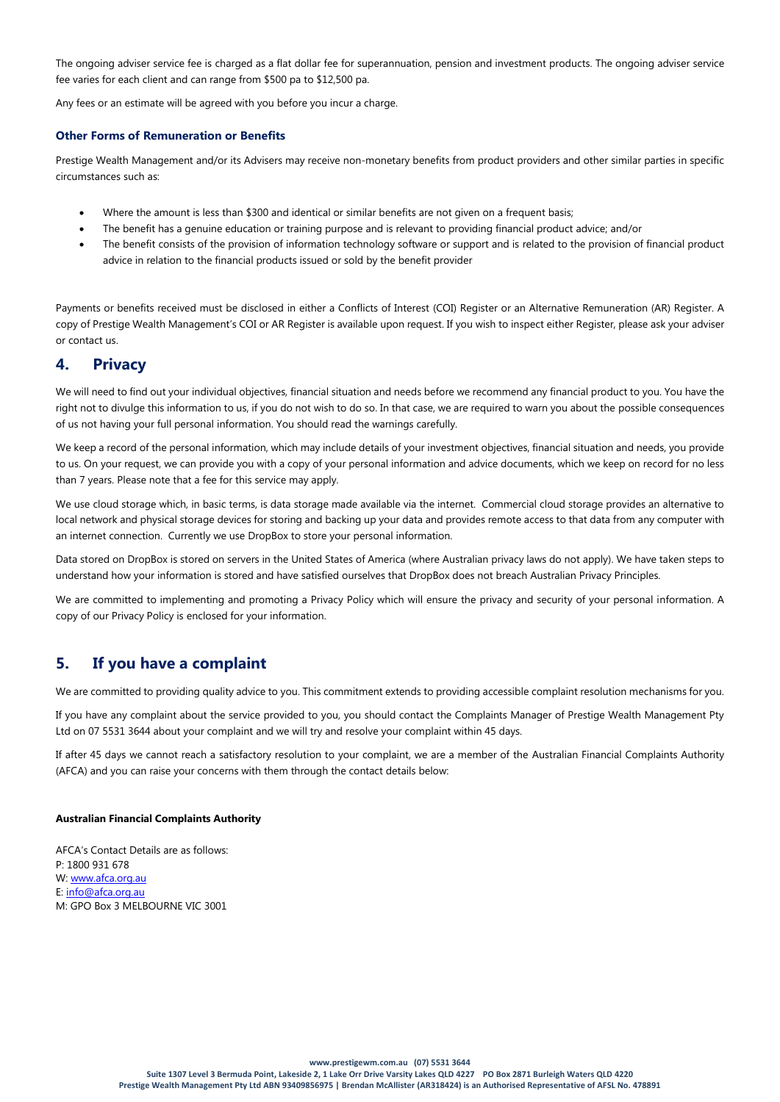The ongoing adviser service fee is charged as a flat dollar fee for superannuation, pension and investment products. The ongoing adviser service fee varies for each client and can range from \$500 pa to \$12,500 pa.

Any fees or an estimate will be agreed with you before you incur a charge.

#### **Other Forms of Remuneration or Benefits**

Prestige Wealth Management and/or its Advisers may receive non-monetary benefits from product providers and other similar parties in specific circumstances such as:

- Where the amount is less than \$300 and identical or similar benefits are not given on a frequent basis;
- The benefit has a genuine education or training purpose and is relevant to providing financial product advice; and/or
- The benefit consists of the provision of information technology software or support and is related to the provision of financial product advice in relation to the financial products issued or sold by the benefit provider

Payments or benefits received must be disclosed in either a Conflicts of Interest (COI) Register or an Alternative Remuneration (AR) Register. A copy of Prestige Wealth Management's COI or AR Register is available upon request. If you wish to inspect either Register, please ask your adviser or contact us.

# **4. Privacy**

We will need to find out your individual objectives, financial situation and needs before we recommend any financial product to you. You have the right not to divulge this information to us, if you do not wish to do so. In that case, we are required to warn you about the possible consequences of us not having your full personal information. You should read the warnings carefully.

We keep a record of the personal information, which may include details of your investment objectives, financial situation and needs, you provide to us. On your request, we can provide you with a copy of your personal information and advice documents, which we keep on record for no less than 7 years. Please note that a fee for this service may apply.

We use cloud storage which, in basic terms, is data storage made available via the internet. Commercial cloud storage provides an alternative to local network and physical storage devices for storing and backing up your data and provides remote access to that data from any computer with an internet connection. Currently we use DropBox to store your personal information.

Data stored on DropBox is stored on servers in the United States of America (where Australian privacy laws do not apply). We have taken steps to understand how your information is stored and have satisfied ourselves that DropBox does not breach Australian Privacy Principles.

We are committed to implementing and promoting a Privacy Policy which will ensure the privacy and security of your personal information. A copy of our Privacy Policy is enclosed for your information.

# **5. If you have a complaint**

We are committed to providing quality advice to you. This commitment extends to providing accessible complaint resolution mechanisms for you.

If you have any complaint about the service provided to you, you should contact the Complaints Manager of Prestige Wealth Management Pty Ltd on 07 5531 3644 about your complaint and we will try and resolve your complaint within 45 days.

If after 45 days we cannot reach a satisfactory resolution to your complaint, we are a member of the Australian Financial Complaints Authority (AFCA) and you can raise your concerns with them through the contact details below:

#### **Australian Financial Complaints Authority**

AFCA's Contact Details are as follows: P: 1800 931 678 W: [www.afca.org.au](http://www.afca.org.au/)  E: [info@afca.org.au](mailto:info@afca.org.au) M: GPO Box 3 MELBOURNE VIC 3001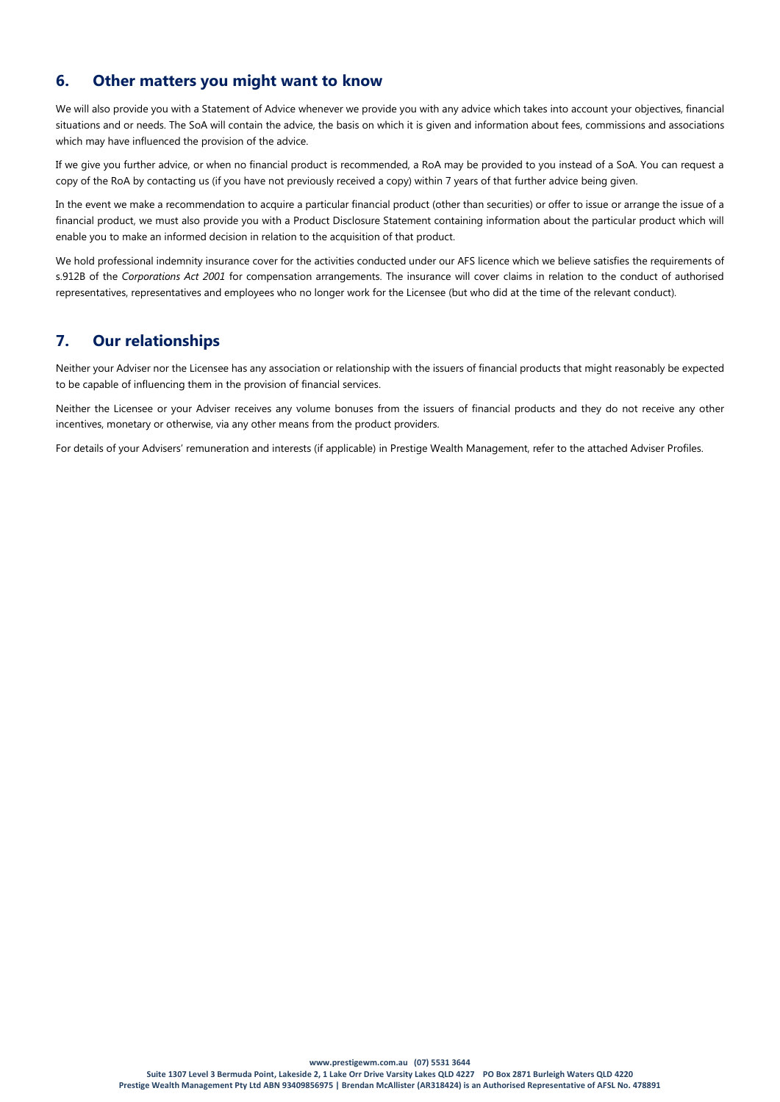# **6. Other matters you might want to know**

We will also provide you with a Statement of Advice whenever we provide you with any advice which takes into account your objectives, financial situations and or needs. The SoA will contain the advice, the basis on which it is given and information about fees, commissions and associations which may have influenced the provision of the advice.

If we give you further advice, or when no financial product is recommended, a RoA may be provided to you instead of a SoA. You can request a copy of the RoA by contacting us (if you have not previously received a copy) within 7 years of that further advice being given.

In the event we make a recommendation to acquire a particular financial product (other than securities) or offer to issue or arrange the issue of a financial product, we must also provide you with a Product Disclosure Statement containing information about the particular product which will enable you to make an informed decision in relation to the acquisition of that product.

We hold professional indemnity insurance cover for the activities conducted under our AFS licence which we believe satisfies the requirements of s.912B of the *Corporations Act 2001* for compensation arrangements. The insurance will cover claims in relation to the conduct of authorised representatives, representatives and employees who no longer work for the Licensee (but who did at the time of the relevant conduct).

# **7. Our relationships**

Neither your Adviser nor the Licensee has any association or relationship with the issuers of financial products that might reasonably be expected to be capable of influencing them in the provision of financial services.

Neither the Licensee or your Adviser receives any volume bonuses from the issuers of financial products and they do not receive any other incentives, monetary or otherwise, via any other means from the product providers.

For details of your Advisers' remuneration and interests (if applicable) in Prestige Wealth Management, refer to the attached Adviser Profiles.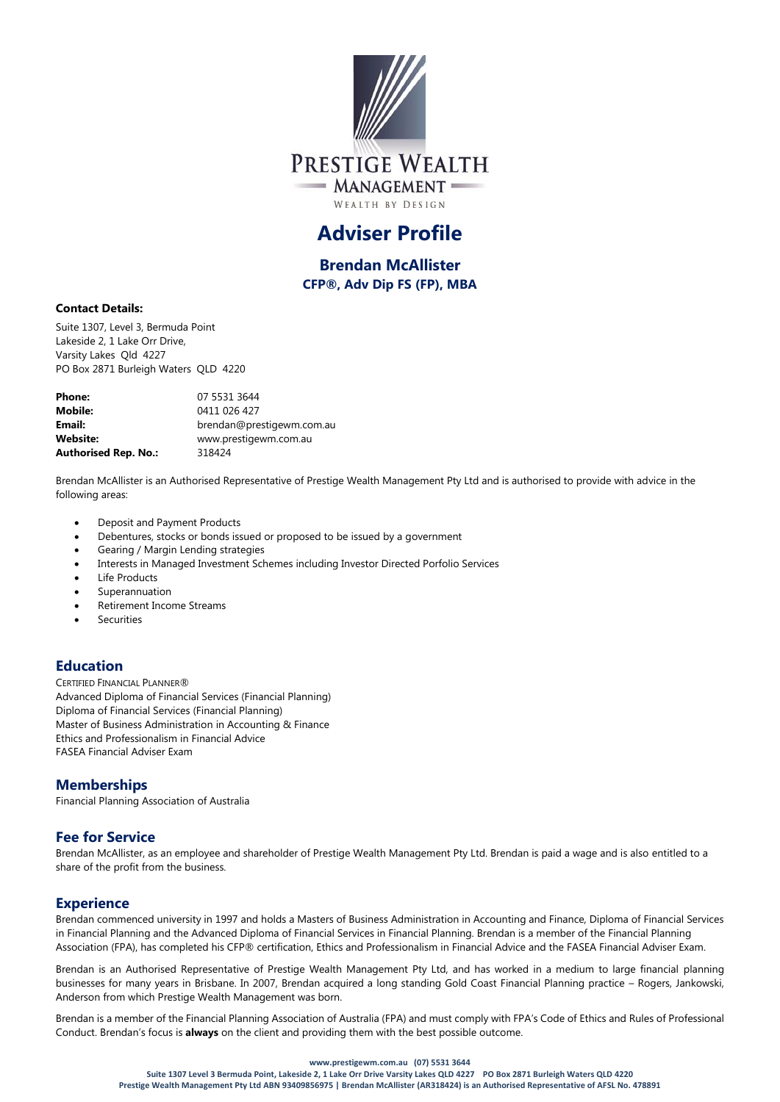

# **Adviser Profile**

**Brendan McAllister CFP®, Adv Dip FS (FP), MBA**

#### **Contact Details:**

Suite 1307, Level 3, Bermuda Point Lakeside 2, 1 Lake Orr Drive, Varsity Lakes Qld 4227 PO Box 2871 Burleigh Waters QLD 4220

| Phone:                      | 07 5531 3644              |
|-----------------------------|---------------------------|
| Mobile:                     | 0411 026 427              |
| Email:                      | brendan@prestigewm.com.au |
| Website:                    | www.prestigewm.com.au     |
| <b>Authorised Rep. No.:</b> | 318424                    |

Brendan McAllister is an Authorised Representative of Prestige Wealth Management Pty Ltd and is authorised to provide with advice in the following areas:

- Deposit and Payment Products
- Debentures, stocks or bonds issued or proposed to be issued by a government
- Gearing / Margin Lending strategies
- Interests in Managed Investment Schemes including Investor Directed Porfolio Services
- Life Products
- **Superannuation**
- Retirement Income Streams
- **Securities**

## **Education**

CERTIFIED FINANCIAL PLANNER® Advanced Diploma of Financial Services (Financial Planning) Diploma of Financial Services (Financial Planning) Master of Business Administration in Accounting & Finance Ethics and Professionalism in Financial Advice FASEA Financial Adviser Exam

## **Memberships**

Financial Planning Association of Australia

## **Fee for Service**

Brendan McAllister, as an employee and shareholder of Prestige Wealth Management Pty Ltd. Brendan is paid a wage and is also entitled to a share of the profit from the business.

## **Experience**

Brendan commenced university in 1997 and holds a Masters of Business Administration in Accounting and Finance, Diploma of Financial Services in Financial Planning and the Advanced Diploma of Financial Services in Financial Planning. Brendan is a member of the Financial Planning Association (FPA), has completed his CFP® certification, Ethics and Professionalism in Financial Advice and the FASEA Financial Adviser Exam.

Brendan is an Authorised Representative of Prestige Wealth Management Pty Ltd, and has worked in a medium to large financial planning businesses for many years in Brisbane. In 2007, Brendan acquired a long standing Gold Coast Financial Planning practice – Rogers, Jankowski, Anderson from which Prestige Wealth Management was born.

Brendan is a member of the Financial Planning Association of Australia (FPA) and must comply with FPA's Code of Ethics and Rules of Professional Conduct. Brendan's focus is **always** on the client and providing them with the best possible outcome.

#### **www.prestigewm.com.au (07) 5531 3644**

**Suite 1307 Level 3 Bermuda Point, Lakeside 2, 1 Lake Orr Drive Varsity Lakes QLD 4227 PO Box 2871 Burleigh Waters QLD 4220 Prestige Wealth Management Pty Ltd ABN 93409856975 | Brendan McAllister (AR318424) is an Authorised Representative of AFSL No. 478891**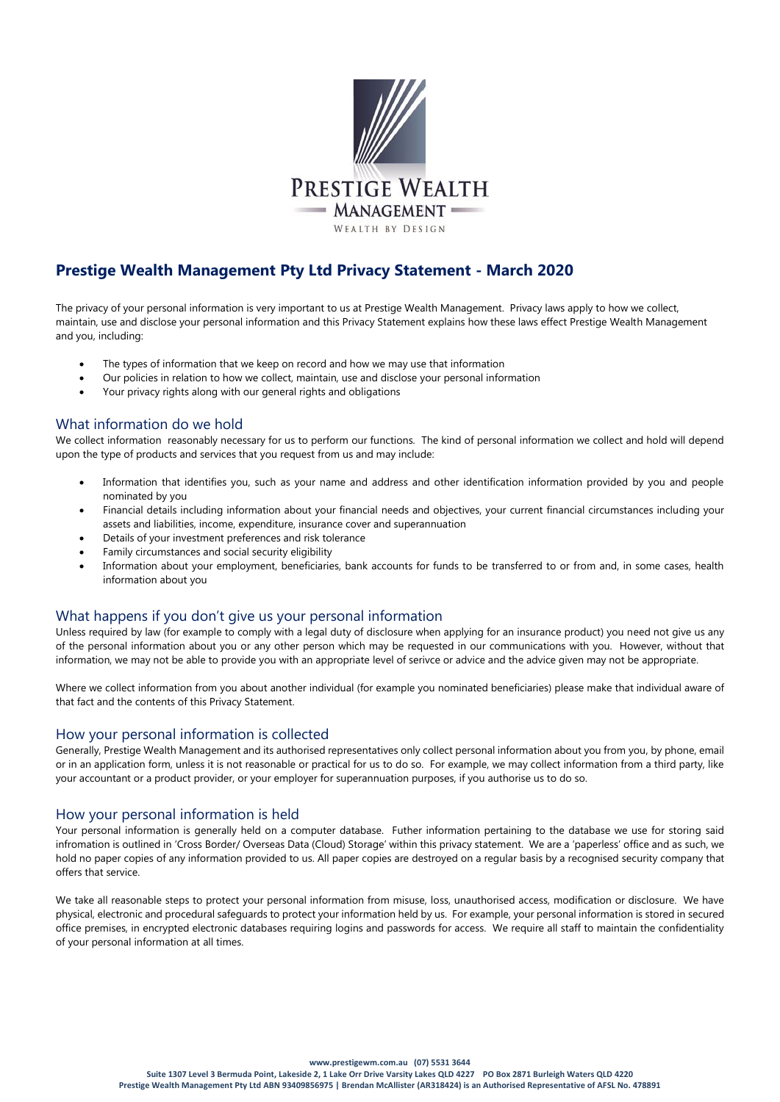

# **Prestige Wealth Management Pty Ltd Privacy Statement - March 2020**

The privacy of your personal information is very important to us at Prestige Wealth Management. Privacy laws apply to how we collect, maintain, use and disclose your personal information and this Privacy Statement explains how these laws effect Prestige Wealth Management and you, including:

- The types of information that we keep on record and how we may use that information
- Our policies in relation to how we collect, maintain, use and disclose your personal information
- Your privacy rights along with our general rights and obligations

# What information do we hold

We collect information reasonably necessary for us to perform our functions. The kind of personal information we collect and hold will depend upon the type of products and services that you request from us and may include:

- Information that identifies you, such as your name and address and other identification information provided by you and people nominated by you
- Financial details including information about your financial needs and objectives, your current financial circumstances including your assets and liabilities, income, expenditure, insurance cover and superannuation
- Details of your investment preferences and risk tolerance
- Family circumstances and social security eligibility
- Information about your employment, beneficiaries, bank accounts for funds to be transferred to or from and, in some cases, health information about you

## What happens if you don't give us your personal information

Unless required by law (for example to comply with a legal duty of disclosure when applying for an insurance product) you need not give us any of the personal information about you or any other person which may be requested in our communications with you. However, without that information, we may not be able to provide you with an appropriate level of serivce or advice and the advice given may not be appropriate.

Where we collect information from you about another individual (for example you nominated beneficiaries) please make that individual aware of that fact and the contents of this Privacy Statement.

#### How your personal information is collected

Generally, Prestige Wealth Management and its authorised representatives only collect personal information about you from you, by phone, email or in an application form, unless it is not reasonable or practical for us to do so. For example, we may collect information from a third party, like your accountant or a product provider, or your employer for superannuation purposes, if you authorise us to do so.

#### How your personal information is held

Your personal information is generally held on a computer database. Futher information pertaining to the database we use for storing said infromation is outlined in 'Cross Border/ Overseas Data (Cloud) Storage' within this privacy statement. We are a 'paperless' office and as such, we hold no paper copies of any information provided to us. All paper copies are destroyed on a regular basis by a recognised security company that offers that service.

We take all reasonable steps to protect your personal information from misuse, loss, unauthorised access, modification or disclosure. We have physical, electronic and procedural safeguards to protect your information held by us. For example, your personal information is stored in secured office premises, in encrypted electronic databases requiring logins and passwords for access. We require all staff to maintain the confidentiality of your personal information at all times.

**www.prestigewm.com.au (07) 5531 3644**